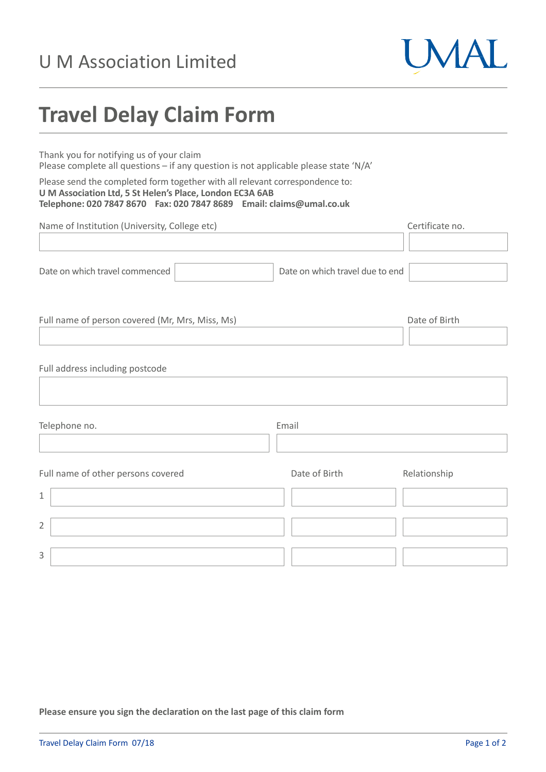## U M Association Limited



## **Travel Delay Claim Form**

Thank you for notifying us of your claim Please complete all questions – if any question is not applicable please state 'N/A'

Please send the completed form together with all relevant correspondence to: **U M Association Ltd, 5 St Helen's Place, London EC3A 6AB Telephone: 020 7847 8670 Fax: 020 7847 8689 Email: claims@umal.co.uk**

| Name of Institution (University, College etc)   |                                 | Certificate no. |
|-------------------------------------------------|---------------------------------|-----------------|
|                                                 |                                 |                 |
| Date on which travel commenced                  | Date on which travel due to end |                 |
|                                                 |                                 |                 |
| Full name of person covered (Mr, Mrs, Miss, Ms) |                                 | Date of Birth   |
|                                                 |                                 |                 |
| Full address including postcode                 |                                 |                 |
| Telephone no.                                   | Email                           |                 |
|                                                 |                                 |                 |
| Full name of other persons covered              | Date of Birth                   | Relationship    |
| 1                                               |                                 |                 |
| $\overline{2}$                                  |                                 |                 |
| 3                                               |                                 |                 |

**Please ensure you sign the declaration on the last page of this claim form**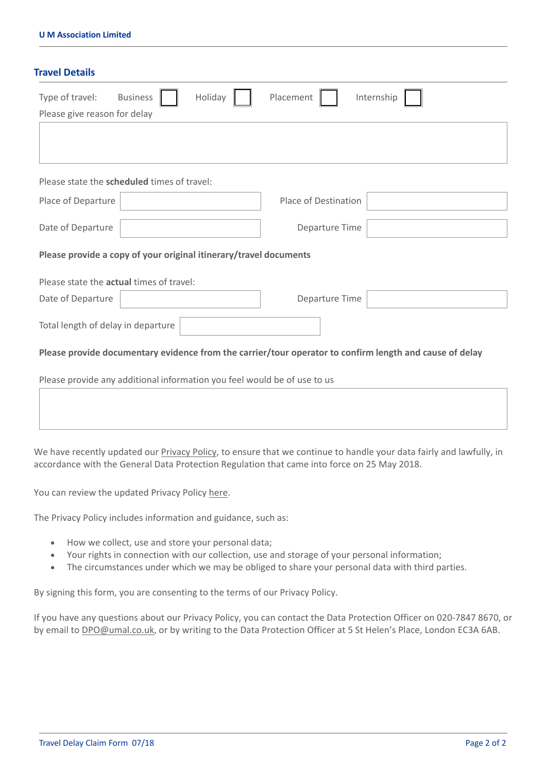| Type of travel:<br><b>Business</b><br>Holiday                            | Placement<br>Internship                                                                                 |  |  |
|--------------------------------------------------------------------------|---------------------------------------------------------------------------------------------------------|--|--|
| Please give reason for delay                                             |                                                                                                         |  |  |
|                                                                          |                                                                                                         |  |  |
|                                                                          |                                                                                                         |  |  |
| Please state the scheduled times of travel:                              |                                                                                                         |  |  |
| Place of Departure                                                       | Place of Destination                                                                                    |  |  |
| Date of Departure                                                        | Departure Time                                                                                          |  |  |
|                                                                          |                                                                                                         |  |  |
| Please provide a copy of your original itinerary/travel documents        |                                                                                                         |  |  |
| Please state the <b>actual</b> times of travel:                          |                                                                                                         |  |  |
| Date of Departure                                                        | Departure Time                                                                                          |  |  |
| Total length of delay in departure                                       |                                                                                                         |  |  |
|                                                                          | Please provide documentary evidence from the carrier/tour operator to confirm length and cause of delay |  |  |
|                                                                          |                                                                                                         |  |  |
| Please provide any additional information you feel would be of use to us |                                                                                                         |  |  |

We have recently updated our [Privacy](https://umal.co.uk/privacy-policy/) Policy, to ensure that we continue to handle your data fairly and lawfully, in accordance with the General Data Protection Regulation that came into force on 25 May 2018.

You can review the updated Privacy Policy [here.](https://umal.co.uk/privacy-policy/)

The Privacy Policy includes information and guidance, such as:

- How we collect, use and store your personal data;
- Your rights in connection with our collection, use and storage of your personal information;
- The circumstances under which we may be obliged to share your personal data with third parties.

By signing this form, you are consenting to the terms of our Privacy Policy.

If you have any questions about our Privacy Policy, you can contact the Data Protection Officer on 020‐7847 8670, or by email to DPO@umal.co.uk, or by writing to the Data Protection Officer at 5 St Helen's Place, London EC3A 6AB.